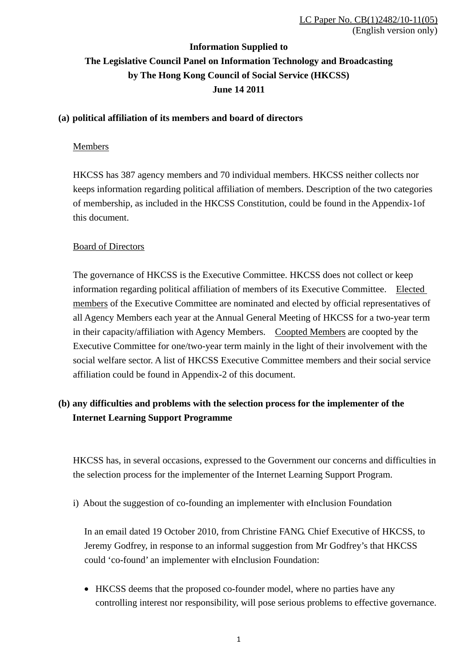## **Information Supplied to The Legislative Council Panel on Information Technology and Broadcasting by The Hong Kong Council of Social Service (HKCSS) June 14 2011**

### **(a) political affiliation of its members and board of directors**

### Members

HKCSS has 387 agency members and 70 individual members. HKCSS neither collects nor keeps information regarding political affiliation of members. Description of the two categories of membership, as included in the HKCSS Constitution, could be found in the Appendix-1of this document.

### Board of Directors

The governance of HKCSS is the Executive Committee. HKCSS does not collect or keep information regarding political affiliation of members of its Executive Committee. Elected members of the Executive Committee are nominated and elected by official representatives of all Agency Members each year at the Annual General Meeting of HKCSS for a two-year term in their capacity/affiliation with Agency Members. Coopted Members are coopted by the Executive Committee for one/two-year term mainly in the light of their involvement with the social welfare sector. A list of HKCSS Executive Committee members and their social service affiliation could be found in Appendix-2 of this document.

### **(b) any difficulties and problems with the selection process for the implementer of the Internet Learning Support Programme**

HKCSS has, in several occasions, expressed to the Government our concerns and difficulties in the selection process for the implementer of the Internet Learning Support Program.

i) About the suggestion of co-founding an implementer with eInclusion Foundation

In an email dated 19 October 2010, from Christine FANG. Chief Executive of HKCSS, to Jeremy Godfrey, in response to an informal suggestion from Mr Godfrey's that HKCSS could 'co-found' an implementer with eInclusion Foundation:

• HKCSS deems that the proposed co-founder model, where no parties have any controlling interest nor responsibility, will pose serious problems to effective governance.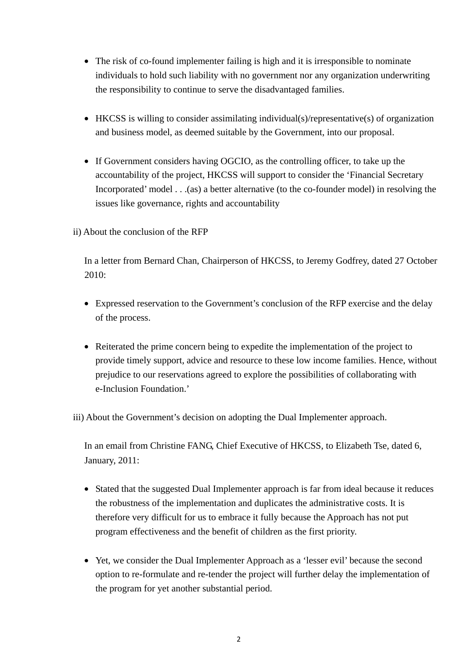- The risk of co-found implementer failing is high and it is irresponsible to nominate individuals to hold such liability with no government nor any organization underwriting the responsibility to continue to serve the disadvantaged families.
- HKCSS is willing to consider assimilating individual(s)/representative(s) of organization and business model, as deemed suitable by the Government, into our proposal.
- If Government considers having OGCIO, as the controlling officer, to take up the accountability of the project, HKCSS will support to consider the 'Financial Secretary Incorporated' model . . .(as) a better alternative (to the co-founder model) in resolving the issues like governance, rights and accountability
- ii) About the conclusion of the RFP

In a letter from Bernard Chan, Chairperson of HKCSS, to Jeremy Godfrey, dated 27 October 2010:

- Expressed reservation to the Government's conclusion of the RFP exercise and the delay of the process.
- Reiterated the prime concern being to expedite the implementation of the project to provide timely support, advice and resource to these low income families. Hence, without prejudice to our reservations agreed to explore the possibilities of collaborating with e-Inclusion Foundation.'

iii) About the Government's decision on adopting the Dual Implementer approach.

In an email from Christine FANG, Chief Executive of HKCSS, to Elizabeth Tse, dated 6, January, 2011:

- Stated that the suggested Dual Implementer approach is far from ideal because it reduces the robustness of the implementation and duplicates the administrative costs. It is therefore very difficult for us to embrace it fully because the Approach has not put program effectiveness and the benefit of children as the first priority.
- Yet, we consider the Dual Implementer Approach as a 'lesser evil' because the second option to re-formulate and re-tender the project will further delay the implementation of the program for yet another substantial period.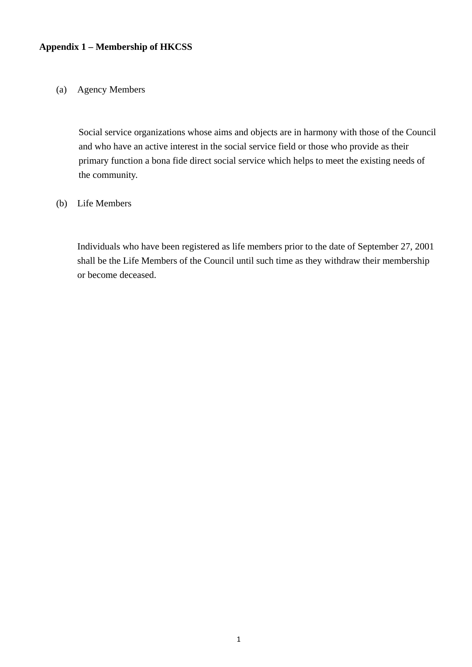### **Appendix 1 – Membership of HKCSS**

#### (a) Agency Members

Social service organizations whose aims and objects are in harmony with those of the Council and who have an active interest in the social service field or those who provide as their primary function a bona fide direct social service which helps to meet the existing needs of the community.

### (b) Life Members

Individuals who have been registered as life members prior to the date of September 27, 2001 shall be the Life Members of the Council until such time as they withdraw their membership or become deceased.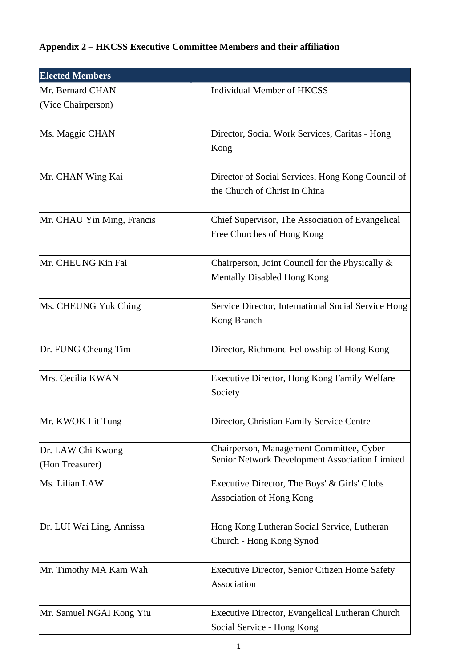# **Appendix 2 – HKCSS Executive Committee Members and their affiliation**

| <b>Elected Members</b>               |                                                                                            |
|--------------------------------------|--------------------------------------------------------------------------------------------|
| Mr. Bernard CHAN                     | <b>Individual Member of HKCSS</b>                                                          |
| (Vice Chairperson)                   |                                                                                            |
| Ms. Maggie CHAN                      | Director, Social Work Services, Caritas - Hong                                             |
|                                      | Kong                                                                                       |
| Mr. CHAN Wing Kai                    | Director of Social Services, Hong Kong Council of<br>the Church of Christ In China         |
| Mr. CHAU Yin Ming, Francis           | Chief Supervisor, The Association of Evangelical<br>Free Churches of Hong Kong             |
| Mr. CHEUNG Kin Fai                   | Chairperson, Joint Council for the Physically &<br>Mentally Disabled Hong Kong             |
| Ms. CHEUNG Yuk Ching                 | Service Director, International Social Service Hong<br>Kong Branch                         |
| Dr. FUNG Cheung Tim                  | Director, Richmond Fellowship of Hong Kong                                                 |
| Mrs. Cecilia KWAN                    | Executive Director, Hong Kong Family Welfare<br>Society                                    |
| Mr. KWOK Lit Tung                    | Director, Christian Family Service Centre                                                  |
| Dr. LAW Chi Kwong<br>(Hon Treasurer) | Chairperson, Management Committee, Cyber<br>Senior Network Development Association Limited |
| Ms. Lilian LAW                       | Executive Director, The Boys' & Girls' Clubs<br><b>Association of Hong Kong</b>            |
| Dr. LUI Wai Ling, Annissa            | Hong Kong Lutheran Social Service, Lutheran                                                |
|                                      | Church - Hong Kong Synod                                                                   |
| Mr. Timothy MA Kam Wah               | Executive Director, Senior Citizen Home Safety                                             |
|                                      | Association                                                                                |
| Mr. Samuel NGAI Kong Yiu             | Executive Director, Evangelical Lutheran Church                                            |
|                                      | Social Service - Hong Kong                                                                 |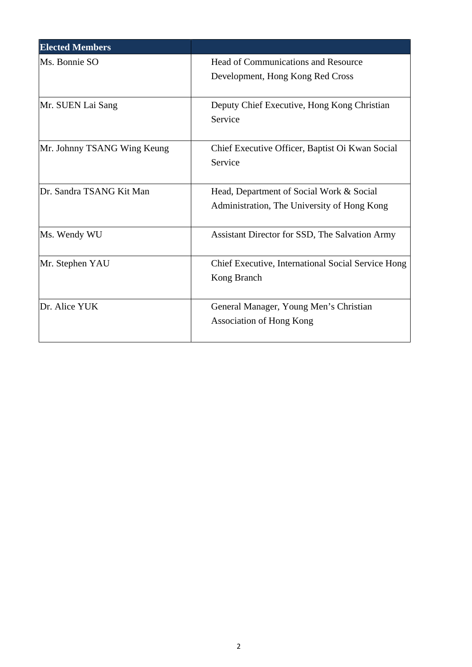| <b>Elected Members</b>      |                                                    |
|-----------------------------|----------------------------------------------------|
| Ms. Bonnie SO               | Head of Communications and Resource                |
|                             | Development, Hong Kong Red Cross                   |
|                             |                                                    |
| Mr. SUEN Lai Sang           | Deputy Chief Executive, Hong Kong Christian        |
|                             | Service                                            |
| Mr. Johnny TSANG Wing Keung | Chief Executive Officer, Baptist Oi Kwan Social    |
|                             | Service                                            |
|                             |                                                    |
| Dr. Sandra TSANG Kit Man    | Head, Department of Social Work & Social           |
|                             | Administration, The University of Hong Kong        |
| Ms. Wendy WU                | Assistant Director for SSD, The Salvation Army     |
|                             |                                                    |
| Mr. Stephen YAU             | Chief Executive, International Social Service Hong |
|                             | Kong Branch                                        |
|                             |                                                    |
| Dr. Alice YUK               | General Manager, Young Men's Christian             |
|                             | <b>Association of Hong Kong</b>                    |
|                             |                                                    |